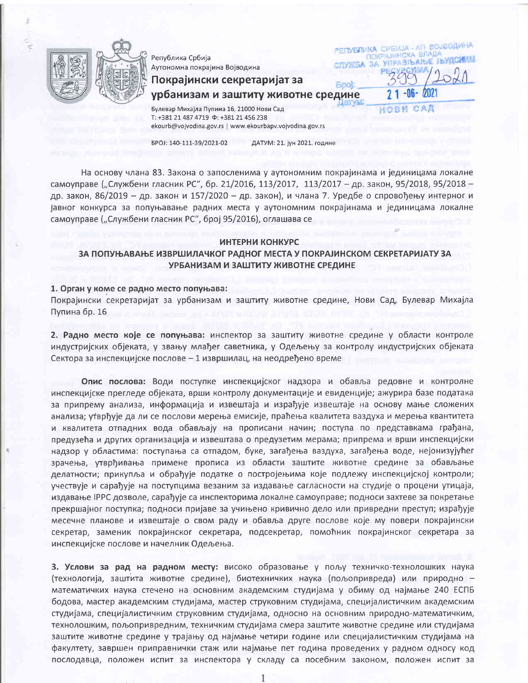

Република Србија Аутономна покрајина Војводина

Покрајински секретаријат за

РЕПУБЛИКА СРБИЈА - АП ВОЈВОДИНА ПОКРАЈИНСКА ВЛАДА CITY NEA 3A YEPASIBAH E IBY ICH AM

урбанизам и заштиту животне средине

Булевар Михајла Пупина 16, 21000 Нови Сад T: +381 21 487 4719  $\Phi$ : +381 21 456 238 ekourb@vojvodina.gov.rs | www.ekourbapv.vojvodina.gov.rs

БРОЈ: 140-111-39/2021-02

ДАТУМ: 21. јун 2021. године

**Boot** 

На основу члана 83. Закона о запосленима у аутономним покрајинама и јединицама локалне самоуправе ("Службени гласник РС", бр. 21/2016, 113/2017, 113/2017 - др. закон, 95/2018, 95/2018 др. закон, 86/2019 - др. закон и 157/2020 - др. закон), и члана 7. Уредбе о спровођењу интерног и јавног конкурса за попуњавање радних места у аутономним покрајинама и јединицама локалне самоуправе ("Службени гласник РС", број 95/2016), оглашава се

## ИНТЕРНИ КОНКУРС

# ЗА ПОПУЊАВАЊЕ ИЗВРШИЛАЧКОГ РАДНОГ МЕСТА У ПОКРАЈИНСКОМ СЕКРЕТАРИЈАТУ ЗА УРБАНИЗАМ И ЗАШТИТУ ЖИВОТНЕ СРЕДИНЕ

## 1. Орган у коме се радно место попуњава:

Покрајински секретаријат за урбанизам и заштиту животне средине, Нови Сад, Булевар Михајла Пупина бр. 16

2. Радно место које се попуњава: инспектор за заштиту животне средине у области контроле индустријских објеката, у звању млађег саветника, у Одељењу за контролу индустријских објеката Сектора за инспекцијске послове - 1 извршилац, на неодређено време

Опис послова: Води поступке инспекцијског надзора и обавља редовне и контролне инспекцијске прегледе објеката, врши контролу документације и евиденције; ажурира базе података за припрему анализа, информација и извештаја и израђује извештаје на основу мање сложених анализа; утврђује да ли се послови мерења емисије, праћења квалитета ваздуха и мерења квантитета и квалитета отпадних вода обављају на прописани начин; поступа по представкама грађана, предузећа и других организација и извештава о предузетим мерама; припрема и врши инспекцијски надзор у областима: поступања са отпадом, буке, загађења ваздуха, загађења воде, нејонизујућег зрачења, утврђивања примене прописа из области заштите животне средине за обављање делатности; прикупља и обрађује податке о постројењима које подлежу инспекцијској контроли; учествује и сарађује на поступцима везаним за издавање сагласности на студије о процени утицаја, издавање IPPC дозволе, сарађује са инспекторима локалне самоуправе; подноси захтеве за покретање прекршајног поступка; подноси пријаве за учињено кривично дело или привредни преступ; израђује месечне планове и извештаје о свом раду и обавља друге послове које му повери покрајински секретар, заменик покрајинског секретара, подсекретар, помоћник покрајинског секретара за инспекцијске послове и начелник Одељења.

3. Услови за рад на радном месту: високо образовање у пољу техничко-технолошких наука (технологија, заштита животне средине), биотехничких наука (пољопривреда) или природно математичких наука стечено на основним академским студијама у обиму од најмање 240 ЕСПБ бодова, мастер академским студијама, мастер струковним студијама, специјалистичким академским студијама, специјалистичким струковним студијама, односно на основним природно-математичким, технолошким, пољопривредним, техничким студијама смера заштите животне средине или студијама заштите животне средине у трајању од најмање четири године или специјалистичким студијама на факултету, завршен приправнички стаж или најмање пет година проведених у радном односу код послодавца, положен испит за инспектора у складу са посебним законом, положен испит за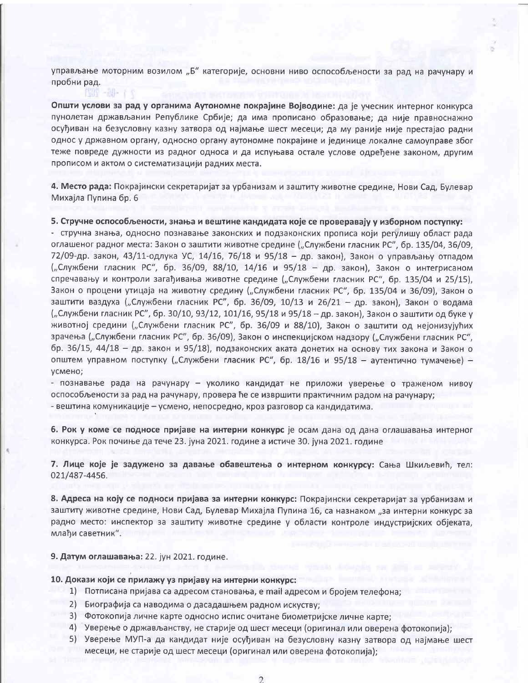управљање моторним возилом "Б" категорије, основни ниво оспособљености за рад на рачунару и пробни рад.

Општи услови за рад у органима Аутономне покрајине Војводине: да је учесник интерног конкурса пунолетан држављанин Републике Србије; да има прописано образовање; да није правноснажно осуђиван на безусловну казну затвора од најмање шест месеци; да му раније није престајао радни однос у државном органу, односно органу аутономне покрајине и јединице локалне самоуправе због теже повреде дужности из радног односа и да испуњава остале услове одређене законом, другим прописом и актом о систематизацији радних места.

4. Место рада: Покрајински секретаријат за урбанизам и заштиту животне средине, Нови Сад, Булевар Михајла Пупина бр. 6

5. Стручне оспособљености, знања и вештине кандидата које се проверавају у изборном поступку:

- стручна знања, односно познавање законских и подзаконских прописа који регулишу област рада оглашеног радног места: Закон о заштити животне средине ("Службени гласник РС", бр. 135/04, 36/09, 72/09-др. закон, 43/11-одлука УС, 14/16, 76/18 и 95/18 - др. закон), Закон о управљању отпадом ("Службени гласник РС", бр. 36/09, 88/10, 14/16 и 95/18 - др. закон), Закон о интегрисаном спречавању и контроли загађивања животне средине ("Службени гласник РС", бр. 135/04 и 25/15), Закон о процени утицаја на животну средину ("Службени гласник РС", бр. 135/04 и 36/09), Закон о заштити ваздуха ("Службени гласник РС", бр. 36/09, 10/13 и 26/21 - др. закон), Закон о водама ("Службени гласник РС", бр. 30/10, 93/12, 101/16, 95/18 и 95/18 - др. закон), Закон о заштити од буке у животној средини ("Службени гласник РС", бр. 36/09 и 88/10), Закон о заштити од нејонизујућих зрачења ("Службени гласник РС", бр. 36/09), Закон о инспекцијском надзору ("Службени гласник РС", бр. 36/15, 44/18 - др. закон и 95/18), подзаконских аката донетих на основу тих закона и Закон о општем управном поступку ("Службени гласник РС", бр. 18/16 и 95/18 - аутентично тумачење) усмено;

- познавање рада на рачунару - уколико кандидат не приложи уверење о траженом нивоу оспособљености за рад на рачунару, провера ће се извршити практичним радом на рачунару; - вештина комуникације - усмено, непосредно, кроз разговор са кандидатима.

6. Рок у коме се подносе пријаве на интерни конкурс је осам дана од дана оглашавања интерног конкурса. Рок почиње да тече 23. јуна 2021. године а истиче 30. јуна 2021. године

7. Лице које је задужено за давање обавештења о интерном конкурсу: Сања Шкиљевић, тел: 021/487-4456.

8. Адреса на коју се подноси пријава за интерни конкурс: Покрајински секретаријат за урбанизам и заштиту животне средине, Нови Сад, Булевар Михајла Пупина 16, са назнаком "за интерни конкурс за радно место: инспектор за заштиту животне средине у области контроле индустријских објеката, млађи саветник".

9. Датум оглашавања: 22. јун 2021. године.

**NOT - NOT** 

10. Докази који се прилажу уз пријаву на интерни конкурс:

- 1) Потписана пријава са адресом становања, е mail адресом и бројем телефона;
- 2) Биографија са наводима о дасадашњем радном искуству;
- 3) Фотокопија личне карте односно испис очитане биометријске личне карте;
- 4) Уверење о држављанству, не старије од шест месеци (оригинал или оверена фотокопија);
- 5) Уверење МУП-а да кандидат није осуђиван на безусловну казну затвора од најмање шест месеци, не старије од шест месеци (оригинал или оверена фотокопија);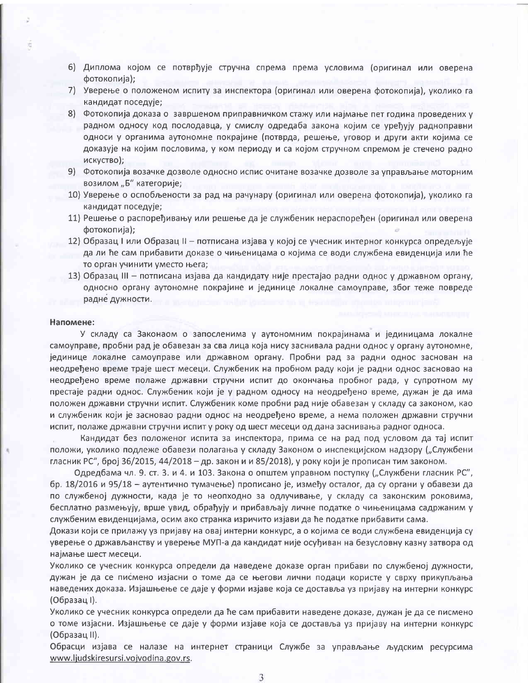- 6) Диплома којом се потврђује стручна спрема према условима (оригинал или оверена фотокопија);
- 7) Уверење о положеном испиту за инспектора (оригинал или оверена фотокопија), уколико га кандидат поседује;
- 8) Фотокопија доказа о завршеном приправничком стажу или најмање пет година проведених у радном односу код послодавца, у смислу одредаба закона којим се уређују радноправни односи у органима аутономне покрајине (потврда, решење, уговор и други акти којима се доказује на којим пословима, у ком периоду и са којом стручном спремом је стечено радно искуство);
- 9) Фотокопија возачке дозволе односно испис очитане возачке дозволе за управљање моторним возилом "Б" категорије;
- 10) Уверење о оспобљености за рад на рачунару (оригинал или оверена фотокопија), уколико га кандидат поседује;
- 11) Решење о распоређивању или решење да је службеник нераспоређен (оригинал или оверена фотокопија);
- 12) Образац I или Образац II потписана изјава у којој се учесник интерног конкурса опредељује да ли ће сам прибавити доказе о чињеницама о којима се води службена евиденција или ће то орган учинити уместо њега;
- 13) Образац III потписана изјава да кандидату није престајао радни однос у државном органу, односно органу аутономне покрајине и јединице локалне самоуправе, због теже повреде радне дужности.

#### Напомене:

У складу са Законаом о запосленима у аутономним покрајинама и јединицама локалне самоуправе, пробни рад је обавезан за сва лица која нису заснивала радни однос у органу аутономне, јединице локалне самоуправе или државном органу. Пробни рад за радни однос заснован на неодређено време траје шест месеци. Службеник на пробном раду који је радни однос засновао на неодређено време полаже државни стручни испит до окончања пробног рада, у супротном му престаје радни однос. Службеник који је у радном односу на неодређено време, дужан је да има положен државни стручни испит. Службеник коме пробни рад није обавезан у складу са законом, као и службеник који је засновао радни однос на неодређено време, а нема положен државни стручни испит, полаже државни стручни испит у року од шест месеци од дана заснивања радног односа.

Кандидат без положеног испита за инспектора, прима се на рад под условом да тај испит положи, уколико подлеже обавези полагања у складу Законом о инспекцијском надзору ("Службени гласник РС", број 36/2015, 44/2018 - др. закон и и 85/2018), у року који је прописан тим законом.

Одредбама чл. 9. ст. 3. и 4. и 103. Закона о општем управном поступку ("Службени гласник РС", бр. 18/2016 и 95/18 – аутентично тумачење) прописано је, између осталог, да су органи у обавези да по службеној дужности, када је то неопходно за одлучивање, у складу са законским роковима, бесплатно размењују, врше увид, обрађују и прибављају личне податке о чињеницама садржаним у службеним евиденцијама, осим ако странка изричито изјави да ће податке прибавити сама.

Докази који се прилажу уз пријаву на овај интерни конкурс, а о којима се води службена евиденција су уверење о држављанству и уверење МУП-а да кандидат није осуђиван на безусловну казну затвора од најмање шест месеци.

Уколико се учесник конкурса определи да наведене доказе орган прибави по службеној дужности, дужан је да се писмено изјасни о томе да се његови лични подаци користе у сврху прикупљања наведених доказа. Изјашњење се даје у форми изјаве која се доставља уз пријаву на интерни конкурс (Образац I).

Уколико се учесник конкурса определи да ће сам прибавити наведене доказе, дужан је да се писмено о томе изјасни. Изјашњење се даје у форми изјаве која се доставља уз пријаву на интерни конкурс (Образац II).

Обрасци изјава се налазе на интернет страници Службе за управљање људским ресурсима www.ljudskiresursi.vojvodina.gov.rs.

3